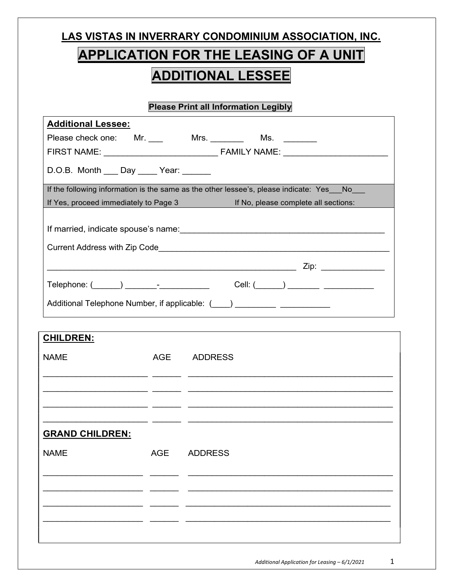| LAS VISTAS IN INVERRARY CONDOMINIUM ASSOCIATION, INC.                                   |
|-----------------------------------------------------------------------------------------|
| <b>APPLICATION FOR THE LEASING OF A UNIT</b>                                            |
| <b>ADDITIONAL LESSEE</b>                                                                |
| <b>Please Print all Information Legibly</b>                                             |
| <b>Additional Lessee:</b>                                                               |
| Please check one: Mr. ____ Mrs. _______ Ms. _______                                     |
|                                                                                         |
| D.O.B. Month ___ Day ____ Year: _____                                                   |
| If the following information is the same as the other lessee's, please indicate: Yes No |
| If Yes, proceed immediately to Page 3 If No, please complete all sections:              |
|                                                                                         |
|                                                                                         |
|                                                                                         |
|                                                                                         |
| Additional Telephone Number, if applicable: (Collection 2011)                           |
|                                                                                         |

| <b>CHILDREN:</b>       |            |                |
|------------------------|------------|----------------|
| <b>NAME</b>            | AGE        | <b>ADDRESS</b> |
|                        |            |                |
|                        |            |                |
|                        |            |                |
|                        |            |                |
| <b>GRAND CHILDREN:</b> |            |                |
| <b>NAME</b>            | <b>AGE</b> | <b>ADDRESS</b> |
|                        |            |                |
|                        |            |                |
|                        |            |                |
|                        |            |                |
|                        |            |                |
|                        |            |                |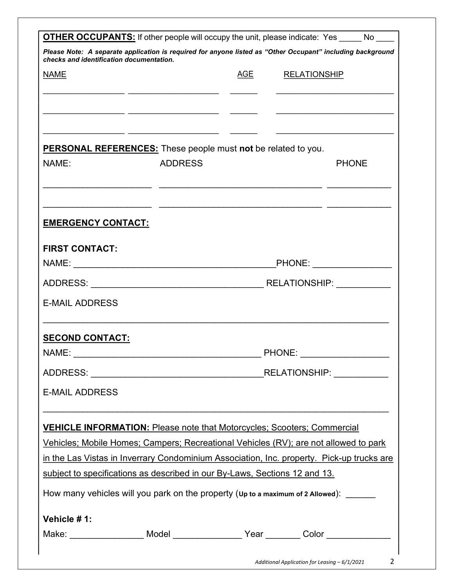| checks and identification documentation. |                                                                            |  | Please Note: A separate application is required for anyone listed as "Other Occupant" including background                                                                                                                           |  |  |
|------------------------------------------|----------------------------------------------------------------------------|--|--------------------------------------------------------------------------------------------------------------------------------------------------------------------------------------------------------------------------------------|--|--|
| <b>NAME</b>                              |                                                                            |  | AGE RELATIONSHIP                                                                                                                                                                                                                     |  |  |
|                                          |                                                                            |  | <u> 1989 - Johann Stoff, deutscher Stoffen und der Stoffen und der Stoffen und der Stoffen und der Stoffen und der Stoffen und der Stoffen und der Stoffen und der Stoffen und der Stoffen und der Stoffen und der Stoffen und d</u> |  |  |
|                                          |                                                                            |  |                                                                                                                                                                                                                                      |  |  |
|                                          | <b>PERSONAL REFERENCES:</b> These people must not be related to you.       |  |                                                                                                                                                                                                                                      |  |  |
| NAME:                                    | <b>ADDRESS</b>                                                             |  | <b>PHONE</b>                                                                                                                                                                                                                         |  |  |
|                                          |                                                                            |  |                                                                                                                                                                                                                                      |  |  |
| <b>EMERGENCY CONTACT:</b>                |                                                                            |  |                                                                                                                                                                                                                                      |  |  |
| <b>FIRST CONTACT:</b>                    |                                                                            |  |                                                                                                                                                                                                                                      |  |  |
|                                          |                                                                            |  | PHONE:                                                                                                                                                                                                                               |  |  |
|                                          |                                                                            |  |                                                                                                                                                                                                                                      |  |  |
| <b>E-MAIL ADDRESS</b>                    |                                                                            |  |                                                                                                                                                                                                                                      |  |  |
| <b>SECOND CONTACT:</b>                   |                                                                            |  |                                                                                                                                                                                                                                      |  |  |
| NAME:                                    |                                                                            |  | PHONE:                                                                                                                                                                                                                               |  |  |
|                                          |                                                                            |  | RELATIONSHIP: ___________                                                                                                                                                                                                            |  |  |
| <b>E-MAIL ADDRESS</b>                    |                                                                            |  |                                                                                                                                                                                                                                      |  |  |
|                                          |                                                                            |  | <b>VEHICLE INFORMATION: Please note that Motorcycles; Scooters; Commercial</b>                                                                                                                                                       |  |  |
|                                          |                                                                            |  | Vehicles; Mobile Homes; Campers; Recreational Vehicles (RV); are not allowed to park                                                                                                                                                 |  |  |
|                                          | subject to specifications as described in our By-Laws, Sections 12 and 13. |  | in the Las Vistas in Inverrary Condominium Association, Inc. property. Pick-up trucks are                                                                                                                                            |  |  |
|                                          |                                                                            |  | How many vehicles will you park on the property (up to a maximum of 2 Allowed):                                                                                                                                                      |  |  |
|                                          |                                                                            |  |                                                                                                                                                                                                                                      |  |  |
| Vehicle #1:                              |                                                                            |  |                                                                                                                                                                                                                                      |  |  |